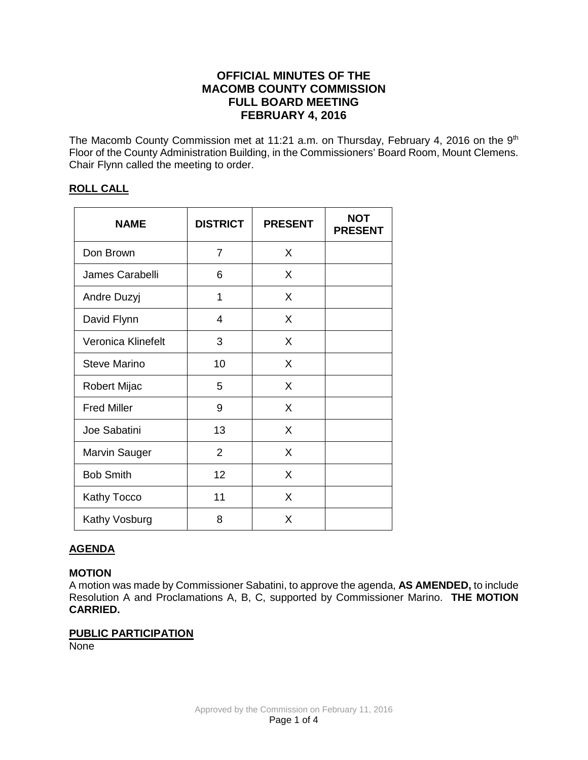# **OFFICIAL MINUTES OF THE MACOMB COUNTY COMMISSION FULL BOARD MEETING FEBRUARY 4, 2016**

The Macomb County Commission met at 11:21 a.m. on Thursday, February 4, 2016 on the 9<sup>th</sup> Floor of the County Administration Building, in the Commissioners' Board Room, Mount Clemens. Chair Flynn called the meeting to order.

# **ROLL CALL**

| <b>NAME</b>          | <b>DISTRICT</b> | <b>PRESENT</b> | <b>NOT</b><br><b>PRESENT</b> |
|----------------------|-----------------|----------------|------------------------------|
| Don Brown            | $\overline{7}$  | X              |                              |
| James Carabelli      | 6               | X              |                              |
| Andre Duzyj          | 1               | X              |                              |
| David Flynn          | 4               | X              |                              |
| Veronica Klinefelt   | 3               | X              |                              |
| Steve Marino         | 10              | X              |                              |
| Robert Mijac         | 5               | X              |                              |
| <b>Fred Miller</b>   | 9               | X              |                              |
| Joe Sabatini         | 13              | X              |                              |
| <b>Marvin Sauger</b> | $\overline{2}$  | X              |                              |
| <b>Bob Smith</b>     | 12              | X              |                              |
| Kathy Tocco          | 11              | X              |                              |
| Kathy Vosburg        | 8               | X              |                              |

# **AGENDA**

### **MOTION**

A motion was made by Commissioner Sabatini, to approve the agenda, **AS AMENDED,** to include Resolution A and Proclamations A, B, C, supported by Commissioner Marino. **THE MOTION CARRIED.**

# **PUBLIC PARTICIPATION**

None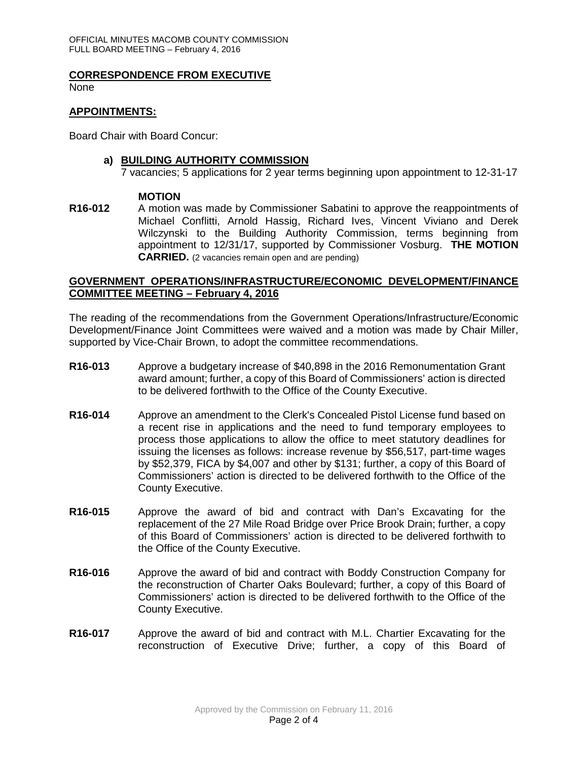#### **CORRESPONDENCE FROM EXECUTIVE**

None

#### **APPOINTMENTS:**

Board Chair with Board Concur:

#### **a) BUILDING AUTHORITY COMMISSION**

7 vacancies; 5 applications for 2 year terms beginning upon appointment to 12-31-17

#### **MOTION**

**R16-012** A motion was made by Commissioner Sabatini to approve the reappointments of Michael Conflitti, Arnold Hassig, Richard Ives, Vincent Viviano and Derek Wilczynski to the Building Authority Commission, terms beginning from appointment to 12/31/17, supported by Commissioner Vosburg. **THE MOTION CARRIED.** (2 vacancies remain open and are pending)

#### **GOVERNMENT OPERATIONS/INFRASTRUCTURE/ECONOMIC DEVELOPMENT/FINANCE COMMITTEE MEETING – February 4, 2016**

The reading of the recommendations from the Government Operations/Infrastructure/Economic Development/Finance Joint Committees were waived and a motion was made by Chair Miller, supported by Vice-Chair Brown, to adopt the committee recommendations.

- **R16-013** Approve a budgetary increase of \$40,898 in the 2016 Remonumentation Grant award amount; further, a copy of this Board of Commissioners' action is directed to be delivered forthwith to the Office of the County Executive.
- **R16-014** Approve an amendment to the Clerk's Concealed Pistol License fund based on a recent rise in applications and the need to fund temporary employees to process those applications to allow the office to meet statutory deadlines for issuing the licenses as follows: increase revenue by \$56,517, part-time wages by \$52,379, FICA by \$4,007 and other by \$131; further, a copy of this Board of Commissioners' action is directed to be delivered forthwith to the Office of the County Executive.
- **R16-015** Approve the award of bid and contract with Dan's Excavating for the replacement of the 27 Mile Road Bridge over Price Brook Drain; further, a copy of this Board of Commissioners' action is directed to be delivered forthwith to the Office of the County Executive.
- **R16-016** Approve the award of bid and contract with Boddy Construction Company for the reconstruction of Charter Oaks Boulevard; further, a copy of this Board of Commissioners' action is directed to be delivered forthwith to the Office of the County Executive.
- **R16-017** Approve the award of bid and contract with M.L. Chartier Excavating for the reconstruction of Executive Drive; further, a copy of this Board of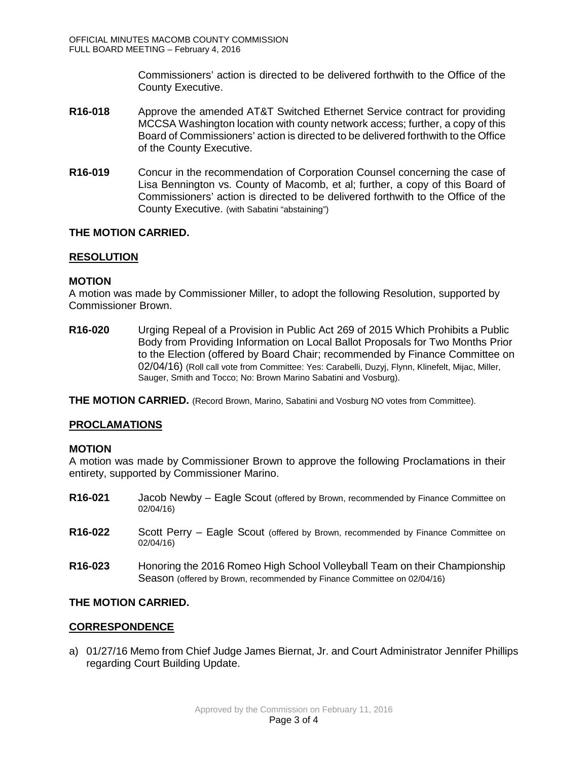Commissioners' action is directed to be delivered forthwith to the Office of the County Executive.

- **R16-018** Approve the amended AT&T Switched Ethernet Service contract for providing MCCSA Washington location with county network access; further, a copy of this Board of Commissioners' action is directed to be delivered forthwith to the Office of the County Executive.
- **R16-019** Concur in the recommendation of Corporation Counsel concerning the case of Lisa Bennington vs. County of Macomb, et al; further, a copy of this Board of Commissioners' action is directed to be delivered forthwith to the Office of the County Executive. (with Sabatini "abstaining")

# **THE MOTION CARRIED.**

# **RESOLUTION**

### **MOTION**

A motion was made by Commissioner Miller, to adopt the following Resolution, supported by Commissioner Brown.

**R16-020** Urging Repeal of a Provision in Public Act 269 of 2015 Which Prohibits a Public Body from Providing Information on Local Ballot Proposals for Two Months Prior to the Election (offered by Board Chair; recommended by Finance Committee on 02/04/16) (Roll call vote from Committee: Yes: Carabelli, Duzyj, Flynn, Klinefelt, Mijac, Miller, Sauger, Smith and Tocco; No: Brown Marino Sabatini and Vosburg).

**THE MOTION CARRIED.** (Record Brown, Marino, Sabatini and Vosburg NO votes from Committee).

### **PROCLAMATIONS**

### **MOTION**

A motion was made by Commissioner Brown to approve the following Proclamations in their entirety, supported by Commissioner Marino.

- **R16-021** Jacob Newby Eagle Scout (offered by Brown, recommended by Finance Committee on 02/04/16)
- **R16-022** Scott Perry Eagle Scout (offered by Brown, recommended by Finance Committee on 02/04/16)
- **R16-023** Honoring the 2016 Romeo High School Volleyball Team on their Championship Season (offered by Brown, recommended by Finance Committee on 02/04/16)

### **THE MOTION CARRIED.**

#### **CORRESPONDENCE**

a) 01/27/16 Memo from Chief Judge James Biernat, Jr. and Court Administrator Jennifer Phillips regarding Court Building Update.